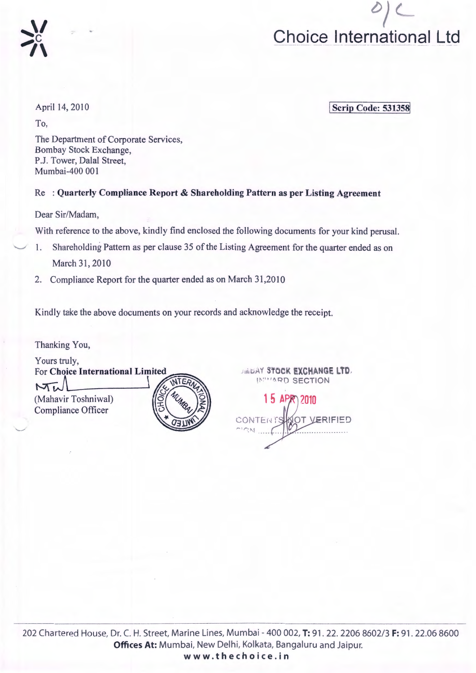

April 14, 2010

 $\gamma$ 

 $\sum_{i=1}^{n}$ 

To,

**Scrip Code: 531358** 

The Department of Corporate Services, Bombay Stock Exchange, P.J. Tower, Dalal Street, Mumbai-400 001

Re : **Quarterly Compliance Report & Shareholding Pattern as per Listing Agreement** 

Dear Sir/Madam,

With reference to the above, kindly find enclosed the following documents for your kind perusal.

- 1. Shareholding Pattern as per clause 35 of the Listing Agreement for the quarter ended as on March 31, 2010
- 2. Compliance Report for the quarter ended as on March 31,2010

Kindly take the above documents on your records and acknowledge the receipt.

Thanking You,

 $\sim\,$ 

Yours truly, For Choice International Limited  $MT$ (Mahavir Toshniwal) Compliance Officer

*AREAY STOCK EXCHANGE LTD.*  $\mu$ "" 1ARD SECTION

15 APR 2010 CONTENT VERIFIED OT <sup>~</sup>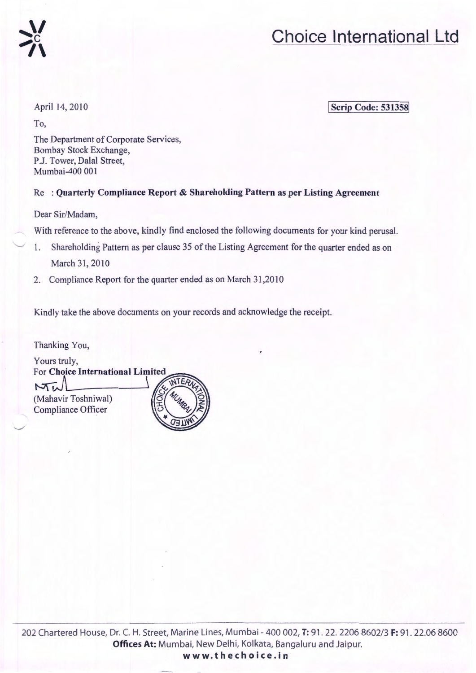

#### April 14, 2010

To,

**Scrip Code: 531358** 

The Department of Corporate Services, Bombay Stock Exchange, P.J. Tower, Dalal Street, Mumbai-400 001

#### Re : Quarterly Compliance Report & Shareholding Pattern as per Listing Agreement

Dear Sir/Madam,

With reference to the above, kindly find enclosed the following documents for your kind perusal.

- 1. Shareholding Pattern as per clause 35 of the Listing Agreement for the quarter ended as on March 31,2010
- 2. Compliance Report for the quarter ended as on March 31,2010

Kindly take the above documents on your records and acknowledge the receipt.

Thanking You,

 $\overline{\phantom{a}}$ 

Yours truly, For Choice International Limited Mu (Mahavir Toshniwal) Compliance Officer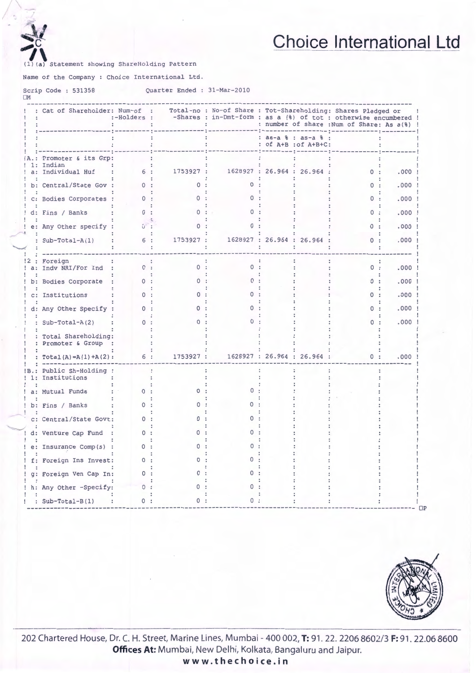

OM

### **Choice International Ltd**

Statement showing ShareHolding Pattern

Name of the Company : Choice International Ltd.

Scrip Code : 531358 Quarter Ended : 31-Mar-2010

| : Cat of Shareholder: Num-of :              |                      |           | Total-no : No-of Share : Tot-Shareholding: Shares Pledged or<br>:-Holders : -Shares : in-Dmt-form : as a (%) of tot : otherwise encumbered ! |                      |                             | : number of share : Num of Share: As a(%) ! |      |
|---------------------------------------------|----------------------|-----------|----------------------------------------------------------------------------------------------------------------------------------------------|----------------------|-----------------------------|---------------------------------------------|------|
|                                             |                      |           |                                                                                                                                              | : as-a % : as-a %    | : of A+B : of A+B+C:        |                                             |      |
| Promoter & its Grp:<br>1: Indian            |                      |           |                                                                                                                                              |                      |                             |                                             |      |
| a: Individual Huf                           | 6:                   |           | 1753927 : 1628927 : 26.964 : 26.964 :                                                                                                        |                      |                             | 0:                                          | .000 |
| b: Central/State Gov :                      | $\Omega$             |           |                                                                                                                                              |                      |                             | $\Omega$ .                                  | .000 |
| c: Bodies Corporates :                      | $\Omega$ :           |           |                                                                                                                                              |                      |                             | 0:                                          | .000 |
| d: Fins / Banks                             | $\Omega$             |           |                                                                                                                                              |                      |                             | 0:                                          | .000 |
| e: Any Other specify :                      | $G$ :                |           |                                                                                                                                              |                      |                             | 0:                                          | .000 |
| : $Sub-Total-A(1)$                          | 6 :                  | 1753927 : |                                                                                                                                              |                      | 1628927 : 26.964 : 26.964 : | 0:                                          | .000 |
| : Foreign                                   |                      |           |                                                                                                                                              |                      |                             |                                             |      |
| a: Indv NRI/For Ind :                       | 0:                   | 0:        | $\Omega$                                                                                                                                     | $\ddot{\phantom{a}}$ |                             | 0:                                          | .000 |
| b: Bodies Corporate                         | <sup>0</sup>         |           |                                                                                                                                              |                      |                             | 0:                                          | .000 |
| c: Institutions                             |                      |           |                                                                                                                                              |                      |                             | 0:                                          | .000 |
| d: Any Other Specify :                      | 0                    |           |                                                                                                                                              |                      |                             | 0:                                          | .000 |
| $Sub-Total-A(2)$                            | $\Omega$             |           |                                                                                                                                              |                      |                             | $^{\circ}$                                  | .000 |
| : Total Shareholding:<br>: Promoter & Group |                      |           |                                                                                                                                              |                      |                             |                                             |      |
| : $Total(A) = A(1) + A(2)$ :                | 6 :                  | 1753927 : |                                                                                                                                              |                      | 1628927: 26.964: 26.964:    | 0:                                          | .000 |
| B.: Public Sh-Holding :<br>1: Institutions  | $\ddot{\phantom{a}}$ |           |                                                                                                                                              |                      |                             |                                             |      |
| a: Mutual Funds                             |                      |           |                                                                                                                                              |                      |                             |                                             |      |
| b: Fins / Banks                             |                      |           |                                                                                                                                              |                      |                             |                                             |      |
| c: Central/State Govt:                      | <sup>n</sup>         | o         |                                                                                                                                              |                      |                             |                                             |      |
| d: Venture Cap Fund                         | $\Omega$ :           |           |                                                                                                                                              |                      |                             |                                             |      |
| e: Insurance Comp(s) :                      | <sup>0</sup>         |           |                                                                                                                                              |                      |                             |                                             |      |
| f: Foreign Ins Invest:                      |                      |           |                                                                                                                                              |                      |                             |                                             |      |
| g: Foreign Ven Cap In:                      |                      |           |                                                                                                                                              |                      |                             |                                             |      |
| h: Any Other -Specify:                      | $\Omega$             |           |                                                                                                                                              |                      |                             |                                             |      |
| : $Sub-Total-B(1)$<br>$\sim$                | 0:                   | 0         | Ω                                                                                                                                            |                      |                             |                                             |      |



202 Chartered House, Dr. C. H. Street, Marine Lines, Mumbai - 400 002, T: 91. 22. 2206 8602/3 F: 91. 22.06 8600 **Offices At: Mumbai, New Delhi, Kolkata, Bangaluru and Jaipur.** 

**ww w.thech o i ce.in**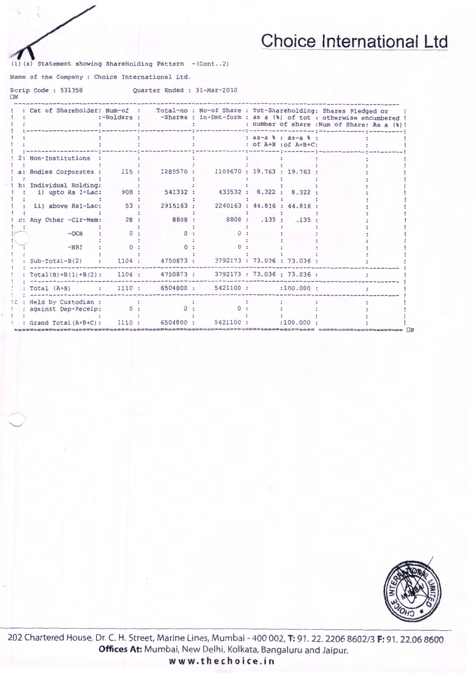(1) (a) Statement showing ShareHolding Pattern -(Cont..2)

Name of the Company : Choice International Ltd.

"-..../

Scrip Code : 531358 OM Quarter Ended : 31-Mar-2010

|                                             | :-Holders : |                                         |                                  |                                             | Cat of Shareholder: Num-of : Total-no : No-of Share : Tot-Shareholding: Shares Pledged or<br>-Shares : in-Dmt-form : as a (%) of tot : otherwise encumbered !<br>: number of share : Num of Share: As a (%) ! |
|---------------------------------------------|-------------|-----------------------------------------|----------------------------------|---------------------------------------------|---------------------------------------------------------------------------------------------------------------------------------------------------------------------------------------------------------------|
|                                             |             |                                         |                                  | : as-a % : as-a % :<br>: of A+B : of A+B+C: |                                                                                                                                                                                                               |
| 2: Non-Institutions                         |             |                                         |                                  |                                             |                                                                                                                                                                                                               |
| a: Bodies Corporates : 115 :                |             |                                         | 1285570: 1109670: 19.763: 19.763 |                                             |                                                                                                                                                                                                               |
| b: Individual Holding:<br>i) upto Rs 1-Lac: | 908:        | 541332 :                                | 433532 : 8.322 :                 | 8.322                                       |                                                                                                                                                                                                               |
| ii) above Rs1-Lac:                          | 53:         | 2915163 :                               |                                  | 2240163 : 44.816 : 44.816 :                 |                                                                                                                                                                                                               |
| Any Other -Clr-Mem:                         | 28:         | 8808 :                                  |                                  | 8808: .135: .135                            |                                                                                                                                                                                                               |
| $-OCB$                                      | $^{\circ}$  |                                         | $^{\circ}$                       |                                             |                                                                                                                                                                                                               |
| $-NRI$                                      | $\Omega$    |                                         |                                  |                                             |                                                                                                                                                                                                               |
|                                             |             |                                         |                                  |                                             |                                                                                                                                                                                                               |
| $Sub-Total-B(2)$                            | 1104:       | 4750873 :                               | ike.                             | 3792173 : 73.036 : 73.036 :                 |                                                                                                                                                                                                               |
| $Total(B)=B(1)+B(2)$ :                      |             | 1104: 4750873: 3792173: 73.036: 73.036: |                                  |                                             |                                                                                                                                                                                                               |
| Total (A+B) : 1110 : 6504800 : 5421100 :    |             |                                         |                                  | :100.000:                                   |                                                                                                                                                                                                               |
| Held by Custodian :                         |             |                                         |                                  |                                             |                                                                                                                                                                                                               |
| against Dep-Receip:                         | $\circ$ :   | 0:                                      |                                  |                                             |                                                                                                                                                                                                               |
| : Grand Total (A+B+C): 1110 : 6504800 :     |             |                                         | 5421100 :                        | :100.000:                                   |                                                                                                                                                                                                               |



202 Chartered House, Dr. C. H. Street, Marine Lines, Mumbai- 400 002, **T:** 91. 22. 2206 8602/3 **F:** 91. 22.06 8600 **Offices At:** Mumbai, New Delhi, Kolkata, Bangaluru and Jaipur. **www.thechoice.in**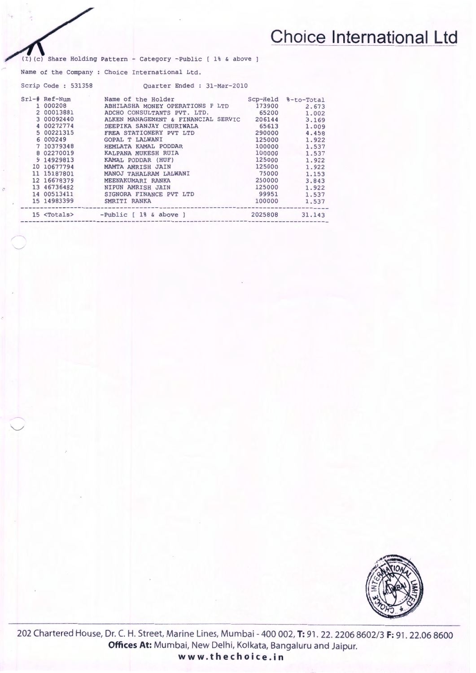- Category -Public [ 1% & above ]

Name of the Company : Choice International Ltd.

,;"  $\checkmark$ 

 $\searrow$ 

| Scrip Code: 531358 | Ouarter Ended : 31-Mar-2010                     |         |                     |
|--------------------|-------------------------------------------------|---------|---------------------|
| $Srl-\#$ Ref-Num   | Name of the Holder                              |         | Scp-Held %-to-Total |
| 1 000208           | ABHILASHA MONEY OPERATIONS P LTD                | 173900  | 2.673               |
| 2 00013881         | ADCHO CONSULTANTS PVT. LTD.                     | 65200   | 1,002               |
| 3 00092440         | ALKEN MANAGEMENT & FINANCIAL SERVIC 206144      |         | 3.169               |
| 4 00272774         | DEEPIKA SANJAY CHURIWALA                        | 65613   | 1,009               |
| 5 00221315         | FREA STATIONERY PVT LTD                         | 290000  | 4.458               |
| 6 000249           | GOPAL T LALWANI                                 | 125000  | 1.922               |
| 7 10379348         | HEMLATA KAMAL PODDAR                            | 100000  | 1.537               |
| 8 02270019         | KALPANA MUKESH RUIA                             | 100000  | 1.537               |
| 9 14929813         | KAMAL PODDAR (HUF)                              | 125000  | 1.922               |
| 10 10677794        | MAMTA AMRISH JAIN                               | 125000  | 1.922               |
| 11 15187801        | MANOJ TAHALRAM LALWANI                          | 75000   | 1.153               |
| 12 16678379        | MEENAKUMARI RANKA                               | 250000  | 3.843               |
| 13 46736482        | NIPUN AMRISH JAIN                               | 125000  | 1.922               |
| 14 00513411        | SIGNORA FINANCE PVT LTD                         | 99951   | 1.537               |
| 15 14983399        | SMRITI RANKA                                    | 100000  | 1,537               |
|                    | 15 <totals> -Public [ 1% &amp; above ]</totals> | 2025808 | 31.143              |



202 Chartered House, Dr. C. H. Street, Marine Lines, Mumbai- 400 002, **T:** 91 . 22. 2206 8602/3 **F:** 91. 22.06 8600 **Offices At:** Mumbai, New Delhi, Kolkata, Bangaluru and Jaipur. **www.thechoice.in**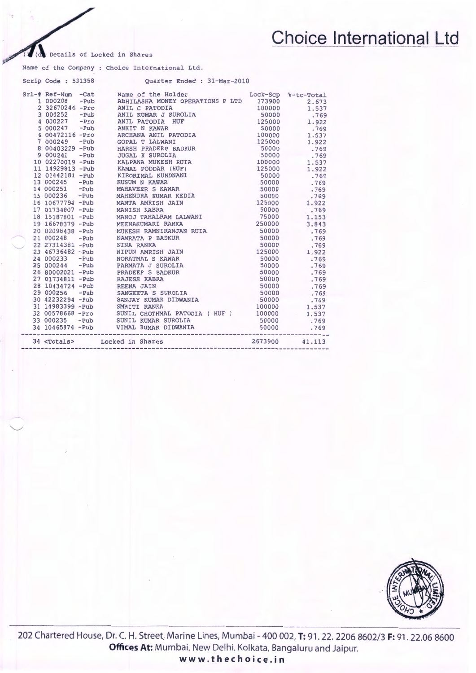Details of Locked in Shares

 $\sim$ 

 $\smile$ 

Name of the Company : Choice International Ltd.

| 34 <totals></totals> | Locked in Shares                                                                                                                                                                                                                         | 2673900             | 41.113 |
|----------------------|------------------------------------------------------------------------------------------------------------------------------------------------------------------------------------------------------------------------------------------|---------------------|--------|
|                      | 18 15187801 -Pub MANOJ TAHALRAM LALWANI 75000<br>19 16678379 -Pub MEENAKUMARI RANKA 250000<br>20 02098438 -Pub MUKESH RAMNIRANJAN RUIA 50000<br>21 000248 -Pub NAMRATA P BADKUR 50000<br>22 27314381 -Pub NINA RANKA 50000<br>22 2731438 |                     | .769   |
|                      |                                                                                                                                                                                                                                          |                     | .769   |
|                      |                                                                                                                                                                                                                                          |                     | 1.537  |
|                      |                                                                                                                                                                                                                                          | 100000              | 1.537  |
|                      |                                                                                                                                                                                                                                          |                     | .769   |
|                      |                                                                                                                                                                                                                                          |                     | .769   |
|                      |                                                                                                                                                                                                                                          |                     | .769   |
|                      |                                                                                                                                                                                                                                          |                     | .769   |
|                      |                                                                                                                                                                                                                                          |                     | .769   |
|                      |                                                                                                                                                                                                                                          |                     | .769   |
|                      |                                                                                                                                                                                                                                          |                     | .769   |
|                      |                                                                                                                                                                                                                                          |                     | 1.922  |
|                      |                                                                                                                                                                                                                                          |                     | .769   |
|                      |                                                                                                                                                                                                                                          |                     | .769   |
|                      |                                                                                                                                                                                                                                          |                     | .769   |
|                      |                                                                                                                                                                                                                                          |                     | 3.843  |
|                      |                                                                                                                                                                                                                                          |                     | 1.153  |
|                      |                                                                                                                                                                                                                                          |                     | .769   |
|                      |                                                                                                                                                                                                                                          |                     | 1.922  |
|                      |                                                                                                                                                                                                                                          |                     | .769   |
|                      | 10 02270019 -Pub KALPANA MUKESH RUIA 100000<br>11 14929813 -Pub KAMAL PODDAR (HUF) 125000<br>12 01442181 -Pub KIRORIMAL KUNDNANI 50000<br>13 000245 -Pub MAHAVEER S KAWAR 50000<br>14 000236 -Pub MAHAVEER S KAWAR 50000<br>16 0067794 - |                     | .769   |
|                      |                                                                                                                                                                                                                                          |                     | .769   |
|                      |                                                                                                                                                                                                                                          |                     | .769   |
|                      |                                                                                                                                                                                                                                          |                     | 1.922  |
|                      |                                                                                                                                                                                                                                          | 100000              | 1.537  |
|                      |                                                                                                                                                                                                                                          | 50000               | .769   |
|                      |                                                                                                                                                                                                                                          | 50000               | .769   |
|                      |                                                                                                                                                                                                                                          | 125000              | 1.922  |
|                      |                                                                                                                                                                                                                                          | 100000              | 1.537  |
|                      |                                                                                                                                                                                                                                          | 50000               | .769   |
|                      |                                                                                                                                                                                                                                          | 125000              | 1.922  |
|                      |                                                                                                                                                                                                                                          | 50000               | .769   |
|                      |                                                                                                                                                                                                                                          | 100000              | 1.537  |
|                      |                                                                                                                                                                                                                                          | 173900              | 2.673  |
|                      |                                                                                                                                                                                                                                          | Lock-Scp %-to-Total |        |
|                      |                                                                                                                                                                                                                                          |                     |        |



202 Chartered House, Dr. C. H. Street, Marine Lines, Mumbai- 400 002, **T:** 91. 22. 2206 8602/3 **F:** 91. 22.06 8600 Offices At: Mumbai, New Delhi, Kolkata, Bangaluru and Jaipur.

**www.thechoice.in**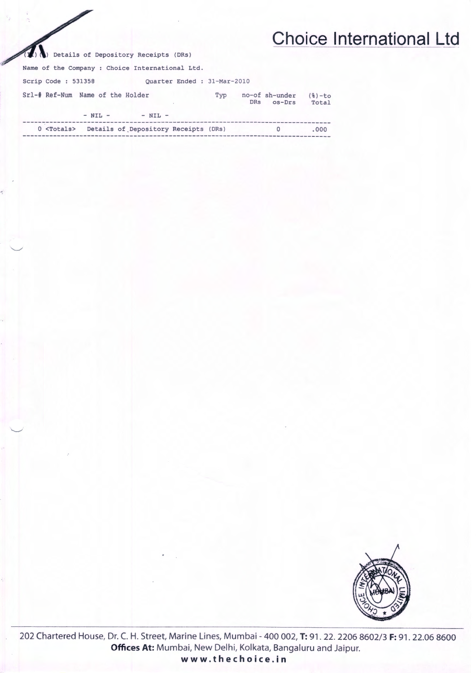) Details of Depository Receipts (DRs)

Name of the Company : Choice International Ltd.

Scrip Code: 531358 Quarter Ended : 31-Mar-2010

| Srl-# Ref-Num Name of the Holder | $-$ NIL $-$ | $-$ NTL $-$                                              | Tvp | <b>DRs</b> | no-of sh-under<br>$OS-DrS$ | $(8) - to$<br>Total |
|----------------------------------|-------------|----------------------------------------------------------|-----|------------|----------------------------|---------------------|
|                                  |             | 0 <totals> Details of Depository Receipts (DRs)</totals> |     |            |                            | .000.               |
|                                  |             |                                                          |     |            |                            |                     |



202 Chartered House, Dr. C. H. Street, Marine Lines, Mumbai - 400 002, T: 91. 22. 2206 8602/3 F: 91. 22.06 8600 Offices At: Mumbai, New Delhi, Kolkata, Bangaluru and Jaipur.

www.thechoice.in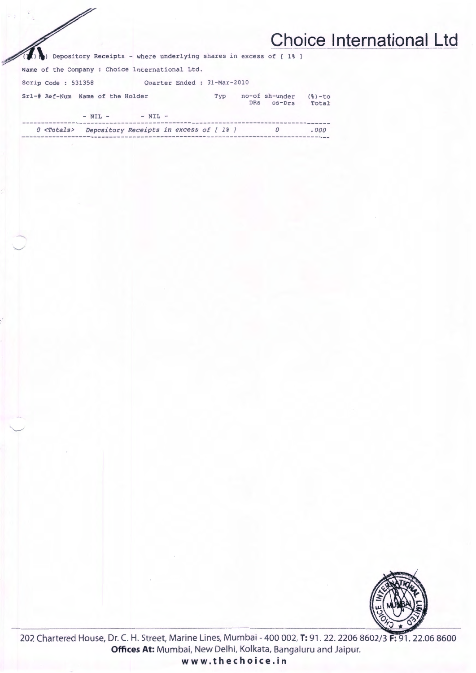Depository Receipts - where underlying shares in excess of [ 1% ]

Name of the Company : Choice International Ltd.

 $\mathbb{Z}$ 

Scrip Code: 531358 Quarter Ended : 31-Mar-2010

| Srl-# Ref-Num Name of the Holder |                                       |             |  |  | Typ | DRs | no-of sh-under<br>$os-Drs$ | $(8) - to$<br>Total |
|----------------------------------|---------------------------------------|-------------|--|--|-----|-----|----------------------------|---------------------|
|                                  | $- NIL -$                             | $-$ NIL $-$ |  |  |     |     |                            |                     |
| $0 <$ Totals $>$                 | Depository Receipts in excess of [1%] |             |  |  |     |     |                            | .000                |



202 Chartered House, Dr. C. H. Street, Marine Lines, Mumbai - 400 002, T: 91. 22. 2206 8602/3 F: 91. 22.06 8600 Offices At: Mumbai, New Delhi, Kolkata, Bangaluru and Jaipur. www.thechoice.in